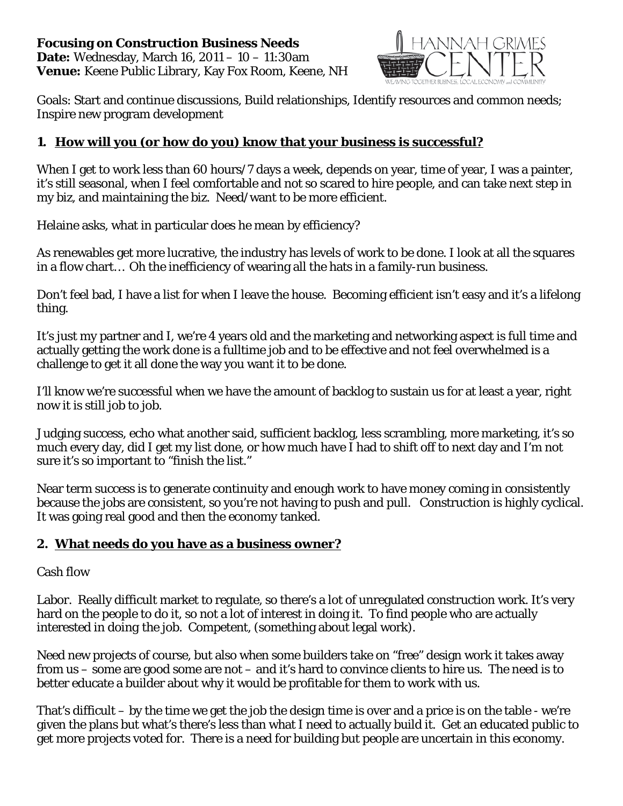

Goals: Start and continue discussions, Build relationships, Identify resources and common needs; Inspire new program development

# **1. How will you (or how do you) know that your business is successful?**

When I get to work less than 60 hours/7 days a week, depends on year, time of year, I was a painter, it's still seasonal, when I feel comfortable and not so scared to hire people, and can take next step in my biz, and maintaining the biz. Need/want to be more efficient.

Helaine asks, what in particular does he mean by efficiency?

As renewables get more lucrative, the industry has levels of work to be done. I look at all the squares in a flow chart… Oh the inefficiency of wearing all the hats in a family-run business.

Don't feel bad, I have a list for when I leave the house. Becoming efficient isn't easy and it's a lifelong thing.

It's just my partner and I, we're 4 years old and the marketing and networking aspect is full time and actually getting the work done is a fulltime job and to be effective and not feel overwhelmed is a challenge to get it all done the way you want it to be done.

I'll know we're successful when we have the amount of backlog to sustain us for at least a year, right now it is still job to job.

Judging success, echo what another said, sufficient backlog, less scrambling, more marketing, it's so much every day, did I get my list done, or how much have I had to shift off to next day and I'm not sure it's so important to "finish the list."

Near term success is to generate continuity and enough work to have money coming in consistently because the jobs are consistent, so you're not having to push and pull. Construction is highly cyclical. It was going real good and then the economy tanked.

# **2. What needs do you have as a business owner?**

#### Cash flow

Labor. Really difficult market to regulate, so there's a lot of unregulated construction work. It's very hard on the people to do it, so not a lot of interest in doing it. To find people who are actually interested in *doing* the job. Competent, (something about legal work).

Need new projects of course, but also when some builders take on "free" design work it takes away from us – some are good some are not – and it's hard to convince clients to hire us. The need is to better educate a builder about why it would be profitable for them to work with us.

That's difficult – by the time we get the job the design time is over and a price is on the table - we're given the plans but what's there's less than what I need to actually build it. Get an educated public to get more projects voted for. There is a need for building but people are uncertain in this economy.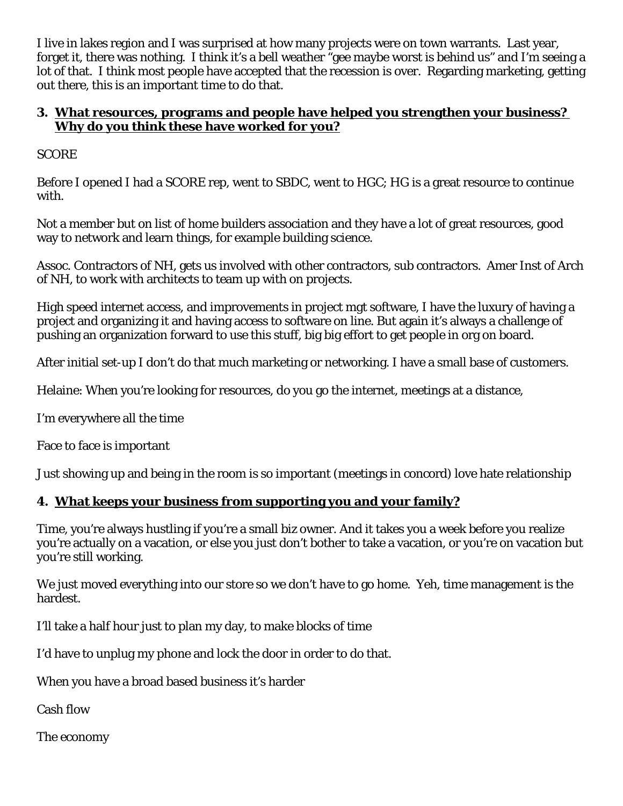I live in lakes region and I was surprised at how many projects were on town warrants. Last year, forget it, there was nothing. I think it's a bell weather "gee maybe worst is behind us" and I'm seeing a lot of that. I think most people have accepted that the recession is over. Regarding marketing, getting out there, this is an important time to do that.

# **3. What resources, programs and people have helped you strengthen your business? Why do you think these have worked for you?**

**SCORE** 

Before I opened I had a SCORE rep, went to SBDC, went to HGC; HG is a great resource to continue with.

Not a member but on list of home builders association and they have a lot of great resources, good way to network and learn things, for example building science.

Assoc. Contractors of NH, gets us involved with other contractors, sub contractors. Amer Inst of Arch of NH, to work with architects to team up with on projects.

High speed internet access, and improvements in project mgt software, I have the luxury of having a project and organizing it and having access to software on line. But again it's always a challenge of pushing an organization forward to *use* this stuff, big big effort to get people in org on board.

After initial set-up I don't do that much marketing or networking. I have a small base of customers.

Helaine: When you're looking for resources, do you go the internet, meetings at a distance,

I'm everywhere all the time

Face to face is important

Just showing up and being in the room is so important (meetings in concord) love hate relationship

# **4. What keeps your business from supporting you and your family?**

Time, you're always hustling if you're a small biz owner. And it takes you a week before you realize you're actually on a vacation, or else you just don't bother to take a vacation, or you're on vacation but you're still working.

We just moved everything into our store so we don't have to go home. Yeh, time management is the hardest.

I'll take a half hour just to plan my day, to make blocks of time

I'd have to unplug my phone and lock the door in order to do that.

When you have a broad based business it's harder

Cash flow

The economy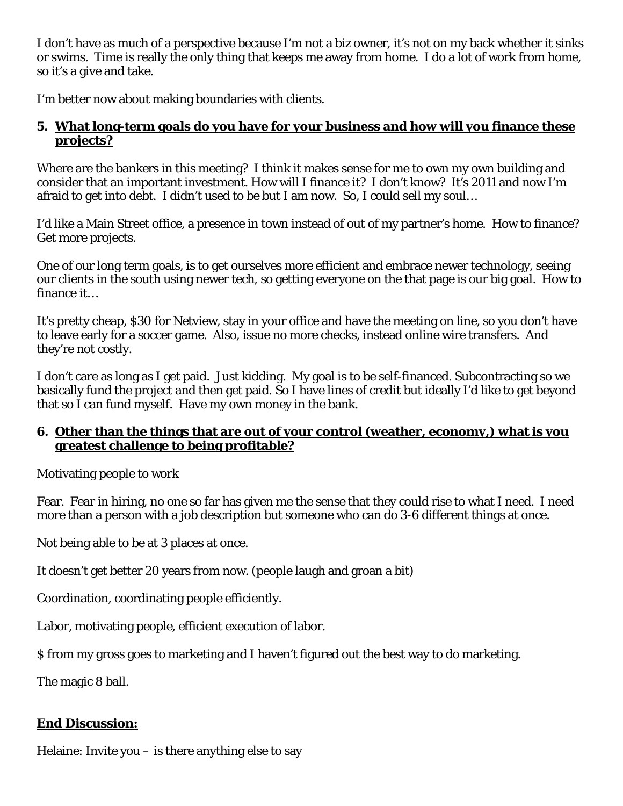I don't have as much of a perspective because I'm not a biz owner, it's not on my back whether it sinks or swims. Time is really the only thing that keeps me away from home. I do a lot of work from home, so it's a give and take.

I'm better now about making boundaries with clients.

#### **5. What long-term goals do you have for your business and how will you finance these projects?**

Where are the bankers in this meeting? I think it makes sense for me to own my own building and consider that an important investment. How will I finance it? I don't know? It's 2011 and now I'm afraid to get into debt. I didn't used to be but I am now. So, I could sell my soul…

I'd like a Main Street office, a presence in town instead of out of my partner's home. How to finance? Get more projects.

One of our long term goals, is to get ourselves more efficient and embrace newer technology, seeing our clients in the south using newer tech, so getting everyone on the that page is our big goal. How to finance it…

It's pretty cheap, \$30 for Netview, stay in your office and have the meeting on line, so you don't have to leave early for a soccer game. Also, issue no more checks, instead online wire transfers. And they're not costly.

I don't care as long as I get paid. Just kidding. My goal is to be self-financed. Subcontracting so we basically fund the project and then get paid. So I have lines of credit but ideally I'd like to get beyond that so I can fund myself. Have my own money in the bank.

# **6. Other than the things that are out of your control (weather, economy,) what is you greatest challenge to being profitable?**

Motivating people to work

Fear. Fear in hiring, no one so far has given me the sense that they could rise to what I need. I need more than a person with a job description but someone who can do 3-6 different things at once.

Not being able to be at 3 places at once.

It doesn't get better 20 years from now. (people laugh and groan a bit)

Coordination, coordinating people efficiently.

Labor, motivating people, efficient execution of labor.

\$ from my gross goes to marketing and I haven't figured out the best way to do marketing.

The magic 8 ball.

# **End Discussion:**

Helaine: Invite you  $-$  is there anything else to say